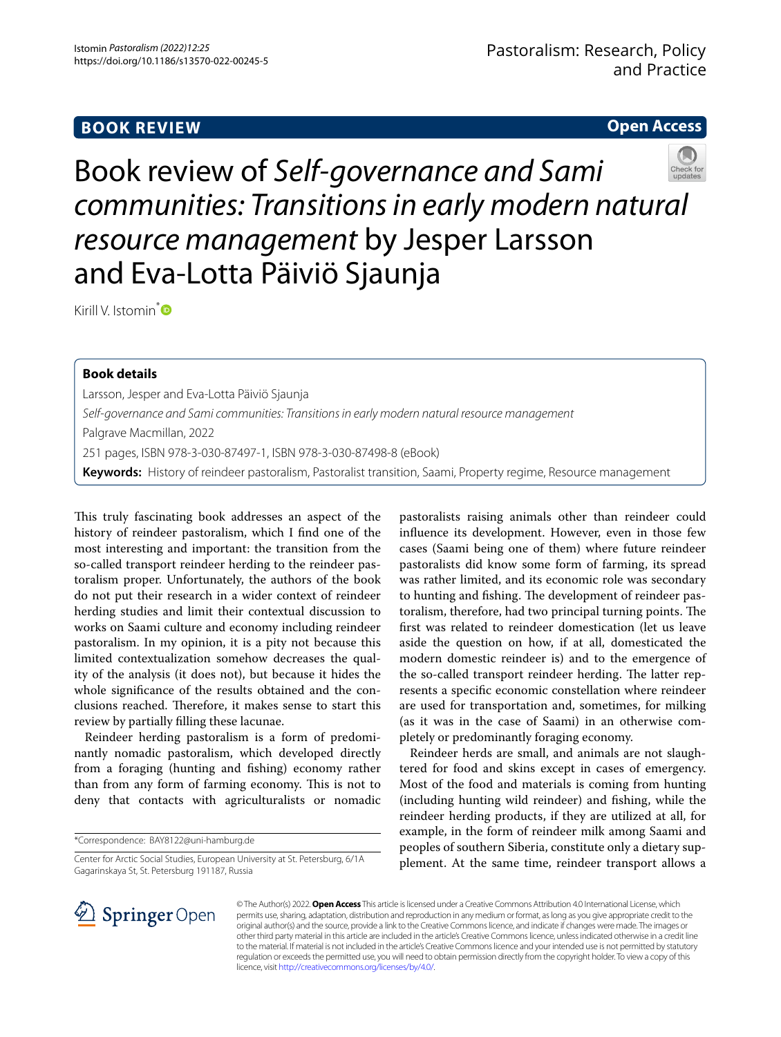# **Open Access**



Book review of *Self‑governance and Sami communities: Transitions in early modern natural resource management* by Jesper Larsson and Eva-Lotta Päiviö Sjaunja

Kirill V. Istomin<sup>\*</sup><sup>®</sup>

## **Book details**

Larsson, Jesper and Eva-Lotta Päiviö Sjaunja *Self-governance and Sami communities: Transitions in early modern natural resource management* Palgrave Macmillan, 2022 251 pages, ISBN 978-3-030-87497-1, ISBN 978-3-030-87498-8 (eBook) **Keywords:** History of reindeer pastoralism, Pastoralist transition, Saami, Property regime, Resource management

This truly fascinating book addresses an aspect of the history of reindeer pastoralism, which I fnd one of the most interesting and important: the transition from the so-called transport reindeer herding to the reindeer pastoralism proper. Unfortunately, the authors of the book do not put their research in a wider context of reindeer herding studies and limit their contextual discussion to works on Saami culture and economy including reindeer pastoralism. In my opinion, it is a pity not because this limited contextualization somehow decreases the quality of the analysis (it does not), but because it hides the whole signifcance of the results obtained and the conclusions reached. Therefore, it makes sense to start this review by partially flling these lacunae.

Reindeer herding pastoralism is a form of predominantly nomadic pastoralism, which developed directly from a foraging (hunting and fshing) economy rather than from any form of farming economy. This is not to deny that contacts with agriculturalists or nomadic

\*Correspondence: BAY8122@uni-hamburg.de

Center for Arctic Social Studies, European University at St. Petersburg, 6/1A Gagarinskaya St, St. Petersburg 191187, Russia

pastoralists raising animals other than reindeer could infuence its development. However, even in those few cases (Saami being one of them) where future reindeer pastoralists did know some form of farming, its spread was rather limited, and its economic role was secondary to hunting and fishing. The development of reindeer pastoralism, therefore, had two principal turning points. The frst was related to reindeer domestication (let us leave aside the question on how, if at all, domesticated the modern domestic reindeer is) and to the emergence of the so-called transport reindeer herding. The latter represents a specifc economic constellation where reindeer are used for transportation and, sometimes, for milking (as it was in the case of Saami) in an otherwise completely or predominantly foraging economy.

Reindeer herds are small, and animals are not slaughtered for food and skins except in cases of emergency. Most of the food and materials is coming from hunting (including hunting wild reindeer) and fshing, while the reindeer herding products, if they are utilized at all, for example, in the form of reindeer milk among Saami and peoples of southern Siberia, constitute only a dietary supplement. At the same time, reindeer transport allows a



© The Author(s) 2022. **Open Access** This article is licensed under a Creative Commons Attribution 4.0 International License, which permits use, sharing, adaptation, distribution and reproduction in any medium or format, as long as you give appropriate credit to the original author(s) and the source, provide a link to the Creative Commons licence, and indicate if changes were made. The images or other third party material in this article are included in the article's Creative Commons licence, unless indicated otherwise in a credit line to the material. If material is not included in the article's Creative Commons licence and your intended use is not permitted by statutory regulation or exceeds the permitted use, you will need to obtain permission directly from the copyright holder. To view a copy of this licence, visit [http://creativecommons.org/licenses/by/4.0/.](http://creativecommons.org/licenses/by/4.0/)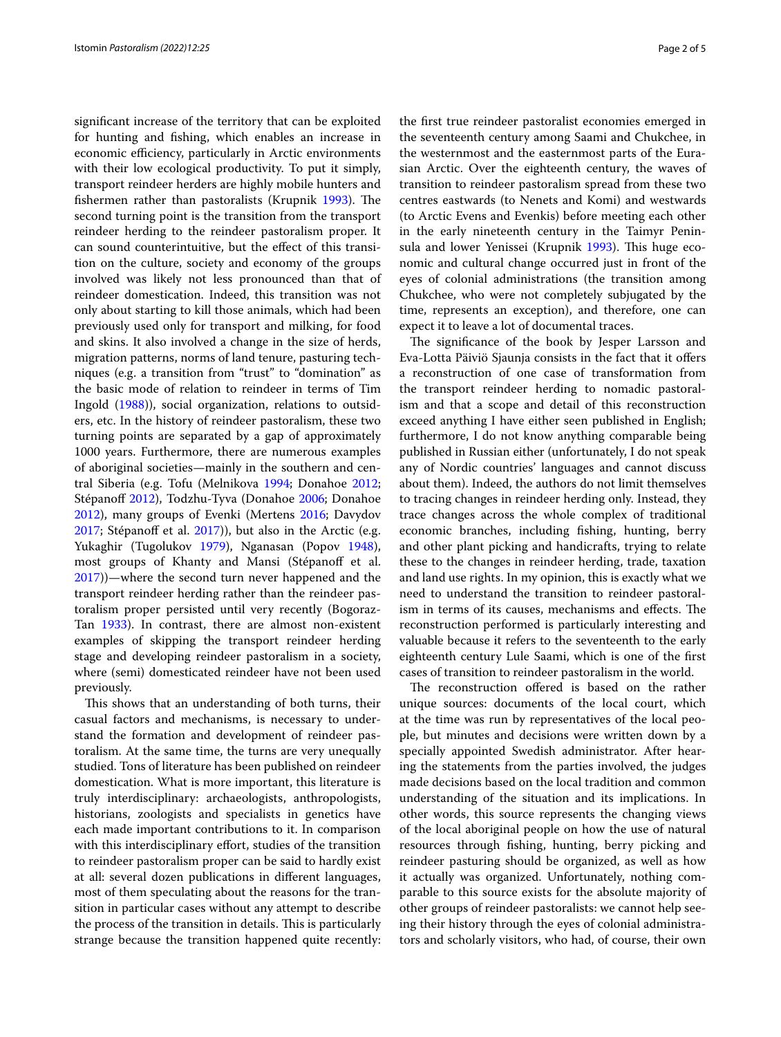signifcant increase of the territory that can be exploited for hunting and fshing, which enables an increase in economic efficiency, particularly in Arctic environments with their low ecological productivity. To put it simply, transport reindeer herders are highly mobile hunters and fishermen rather than pastoralists (Krupnik [1993\)](#page-3-0). The second turning point is the transition from the transport reindeer herding to the reindeer pastoralism proper. It can sound counterintuitive, but the effect of this transition on the culture, society and economy of the groups involved was likely not less pronounced than that of reindeer domestication. Indeed, this transition was not only about starting to kill those animals, which had been previously used only for transport and milking, for food and skins. It also involved a change in the size of herds, migration patterns, norms of land tenure, pasturing techniques (e.g. a transition from "trust" to "domination" as the basic mode of relation to reindeer in terms of Tim Ingold ([1988](#page-3-1))), social organization, relations to outsiders, etc. In the history of reindeer pastoralism, these two turning points are separated by a gap of approximately 1000 years. Furthermore, there are numerous examples of aboriginal societies—mainly in the southern and central Siberia (e.g. Tofu (Melnikova [1994;](#page-3-2) Donahoe [2012](#page-3-3); Stépanoff [2012](#page-3-4)), Todzhu-Tyva (Donahoe [2006;](#page-3-5) Donahoe [2012](#page-3-3)), many groups of Evenki (Mertens [2016;](#page-3-6) Davydov  $2017$ ; Stépanoff et al.  $2017$ ), but also in the Arctic (e.g. Yukaghir (Tugolukov [1979](#page-4-0)), Nganasan (Popov [1948](#page-3-9)), most groups of Khanty and Mansi (Stépanoff et al. [2017](#page-3-8)))—where the second turn never happened and the transport reindeer herding rather than the reindeer pastoralism proper persisted until very recently (Bogoraz-Tan [1933](#page-3-10)). In contrast, there are almost non-existent examples of skipping the transport reindeer herding stage and developing reindeer pastoralism in a society, where (semi) domesticated reindeer have not been used previously.

This shows that an understanding of both turns, their casual factors and mechanisms, is necessary to understand the formation and development of reindeer pastoralism. At the same time, the turns are very unequally studied. Tons of literature has been published on reindeer domestication. What is more important, this literature is truly interdisciplinary: archaeologists, anthropologists, historians, zoologists and specialists in genetics have each made important contributions to it. In comparison with this interdisciplinary effort, studies of the transition to reindeer pastoralism proper can be said to hardly exist at all: several dozen publications in diferent languages, most of them speculating about the reasons for the transition in particular cases without any attempt to describe the process of the transition in details. This is particularly strange because the transition happened quite recently: the frst true reindeer pastoralist economies emerged in the seventeenth century among Saami and Chukchee, in the westernmost and the easternmost parts of the Eurasian Arctic. Over the eighteenth century, the waves of transition to reindeer pastoralism spread from these two centres eastwards (to Nenets and Komi) and westwards (to Arctic Evens and Evenkis) before meeting each other in the early nineteenth century in the Taimyr Penin-sula and lower Yenissei (Krupnik [1993](#page-3-0)). This huge economic and cultural change occurred just in front of the eyes of colonial administrations (the transition among Chukchee, who were not completely subjugated by the time, represents an exception), and therefore, one can expect it to leave a lot of documental traces.

The significance of the book by Jesper Larsson and Eva-Lotta Päiviö Sjaunja consists in the fact that it ofers a reconstruction of one case of transformation from the transport reindeer herding to nomadic pastoralism and that a scope and detail of this reconstruction exceed anything I have either seen published in English; furthermore, I do not know anything comparable being published in Russian either (unfortunately, I do not speak any of Nordic countries' languages and cannot discuss about them). Indeed, the authors do not limit themselves to tracing changes in reindeer herding only. Instead, they trace changes across the whole complex of traditional economic branches, including fshing, hunting, berry and other plant picking and handicrafts, trying to relate these to the changes in reindeer herding, trade, taxation and land use rights. In my opinion, this is exactly what we need to understand the transition to reindeer pastoralism in terms of its causes, mechanisms and effects. The reconstruction performed is particularly interesting and valuable because it refers to the seventeenth to the early eighteenth century Lule Saami, which is one of the frst cases of transition to reindeer pastoralism in the world.

The reconstruction offered is based on the rather unique sources: documents of the local court, which at the time was run by representatives of the local people, but minutes and decisions were written down by a specially appointed Swedish administrator. After hearing the statements from the parties involved, the judges made decisions based on the local tradition and common understanding of the situation and its implications. In other words, this source represents the changing views of the local aboriginal people on how the use of natural resources through fshing, hunting, berry picking and reindeer pasturing should be organized, as well as how it actually was organized. Unfortunately, nothing comparable to this source exists for the absolute majority of other groups of reindeer pastoralists: we cannot help seeing their history through the eyes of colonial administrators and scholarly visitors, who had, of course, their own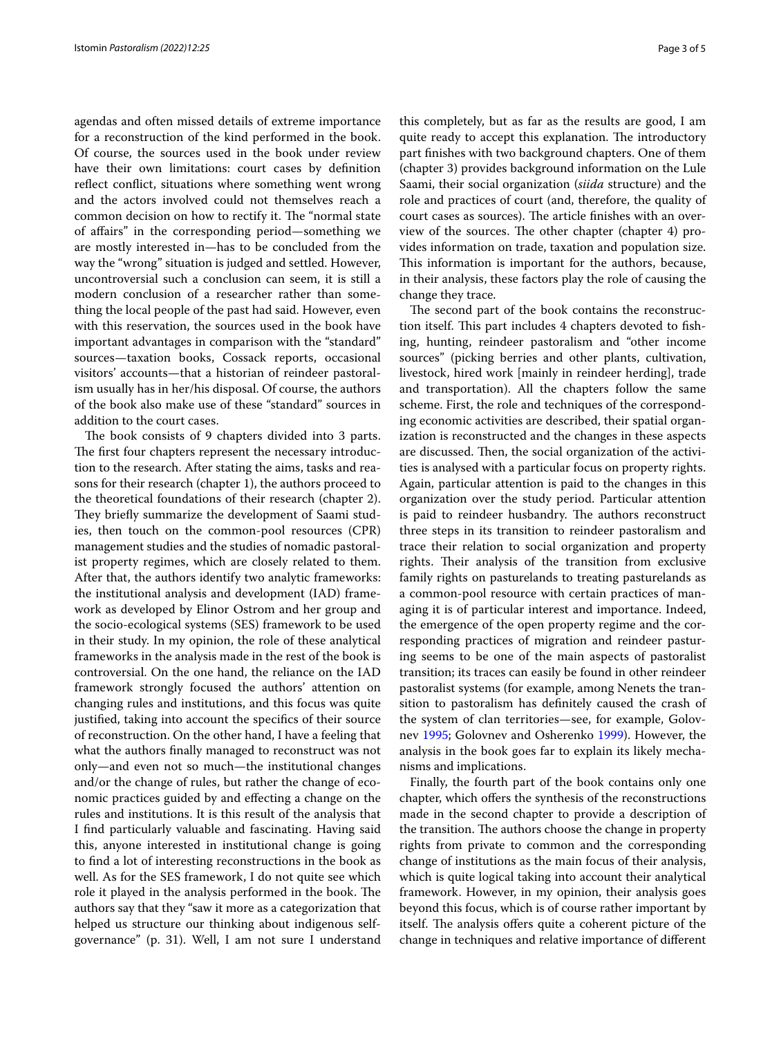agendas and often missed details of extreme importance for a reconstruction of the kind performed in the book. Of course, the sources used in the book under review have their own limitations: court cases by defnition reflect conflict, situations where something went wrong and the actors involved could not themselves reach a common decision on how to rectify it. The "normal state" of afairs" in the corresponding period—something we are mostly interested in—has to be concluded from the way the "wrong" situation is judged and settled. However, uncontroversial such a conclusion can seem, it is still a modern conclusion of a researcher rather than something the local people of the past had said. However, even with this reservation, the sources used in the book have important advantages in comparison with the "standard" sources—taxation books, Cossack reports, occasional visitors' accounts—that a historian of reindeer pastoralism usually has in her/his disposal. Of course, the authors of the book also make use of these "standard" sources in addition to the court cases.

The book consists of 9 chapters divided into 3 parts. The first four chapters represent the necessary introduction to the research. After stating the aims, tasks and reasons for their research (chapter 1), the authors proceed to the theoretical foundations of their research (chapter 2). They briefly summarize the development of Saami studies, then touch on the common-pool resources (CPR) management studies and the studies of nomadic pastoralist property regimes, which are closely related to them. After that, the authors identify two analytic frameworks: the institutional analysis and development (IAD) framework as developed by Elinor Ostrom and her group and the socio-ecological systems (SES) framework to be used in their study. In my opinion, the role of these analytical frameworks in the analysis made in the rest of the book is controversial. On the one hand, the reliance on the IAD framework strongly focused the authors' attention on changing rules and institutions, and this focus was quite justifed, taking into account the specifcs of their source of reconstruction. On the other hand, I have a feeling that what the authors fnally managed to reconstruct was not only—and even not so much—the institutional changes and/or the change of rules, but rather the change of economic practices guided by and efecting a change on the rules and institutions. It is this result of the analysis that I fnd particularly valuable and fascinating. Having said this, anyone interested in institutional change is going to fnd a lot of interesting reconstructions in the book as well. As for the SES framework, I do not quite see which role it played in the analysis performed in the book. The authors say that they "saw it more as a categorization that helped us structure our thinking about indigenous selfgovernance" (p. 31). Well, I am not sure I understand this completely, but as far as the results are good, I am quite ready to accept this explanation. The introductory part fnishes with two background chapters. One of them (chapter 3) provides background information on the Lule Saami, their social organization (*siida* structure) and the role and practices of court (and, therefore, the quality of court cases as sources). The article finishes with an overview of the sources. The other chapter (chapter  $4$ ) provides information on trade, taxation and population size. This information is important for the authors, because, in their analysis, these factors play the role of causing the change they trace.

The second part of the book contains the reconstruction itself. This part includes 4 chapters devoted to fishing, hunting, reindeer pastoralism and "other income sources" (picking berries and other plants, cultivation, livestock, hired work [mainly in reindeer herding], trade and transportation). All the chapters follow the same scheme. First, the role and techniques of the corresponding economic activities are described, their spatial organization is reconstructed and the changes in these aspects are discussed. Then, the social organization of the activities is analysed with a particular focus on property rights. Again, particular attention is paid to the changes in this organization over the study period. Particular attention is paid to reindeer husbandry. The authors reconstruct three steps in its transition to reindeer pastoralism and trace their relation to social organization and property rights. Their analysis of the transition from exclusive family rights on pasturelands to treating pasturelands as a common-pool resource with certain practices of managing it is of particular interest and importance. Indeed, the emergence of the open property regime and the corresponding practices of migration and reindeer pasturing seems to be one of the main aspects of pastoralist transition; its traces can easily be found in other reindeer pastoralist systems (for example, among Nenets the transition to pastoralism has defnitely caused the crash of the system of clan territories—see, for example, Golovnev [1995](#page-3-11); Golovnev and Osherenko [1999\)](#page-3-12). However, the analysis in the book goes far to explain its likely mechanisms and implications.

Finally, the fourth part of the book contains only one chapter, which offers the synthesis of the reconstructions made in the second chapter to provide a description of the transition. The authors choose the change in property rights from private to common and the corresponding change of institutions as the main focus of their analysis, which is quite logical taking into account their analytical framework. However, in my opinion, their analysis goes beyond this focus, which is of course rather important by itself. The analysis offers quite a coherent picture of the change in techniques and relative importance of diferent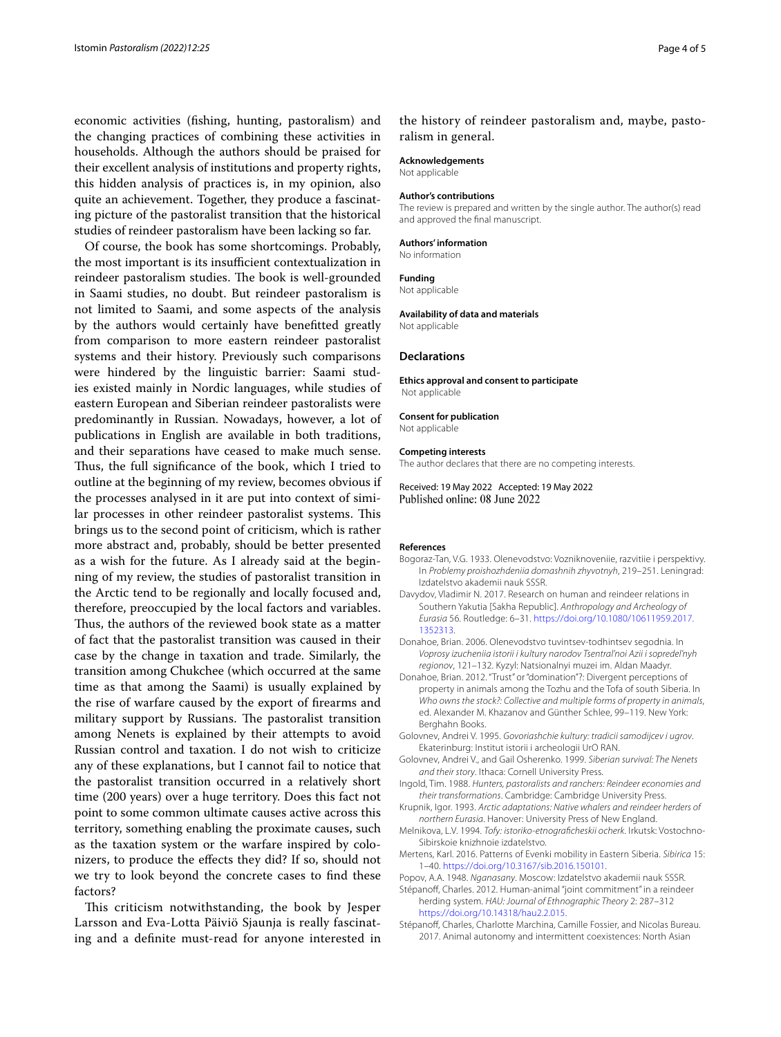economic activities (fshing, hunting, pastoralism) and the changing practices of combining these activities in households. Although the authors should be praised for their excellent analysis of institutions and property rights, this hidden analysis of practices is, in my opinion, also quite an achievement. Together, they produce a fascinating picture of the pastoralist transition that the historical studies of reindeer pastoralism have been lacking so far.

Of course, the book has some shortcomings. Probably, the most important is its insufficient contextualization in reindeer pastoralism studies. The book is well-grounded in Saami studies, no doubt. But reindeer pastoralism is not limited to Saami, and some aspects of the analysis by the authors would certainly have beneftted greatly from comparison to more eastern reindeer pastoralist systems and their history. Previously such comparisons were hindered by the linguistic barrier: Saami studies existed mainly in Nordic languages, while studies of eastern European and Siberian reindeer pastoralists were predominantly in Russian. Nowadays, however, a lot of publications in English are available in both traditions, and their separations have ceased to make much sense. Thus, the full significance of the book, which I tried to outline at the beginning of my review, becomes obvious if the processes analysed in it are put into context of similar processes in other reindeer pastoralist systems. This brings us to the second point of criticism, which is rather more abstract and, probably, should be better presented as a wish for the future. As I already said at the beginning of my review, the studies of pastoralist transition in the Arctic tend to be regionally and locally focused and, therefore, preoccupied by the local factors and variables. Thus, the authors of the reviewed book state as a matter of fact that the pastoralist transition was caused in their case by the change in taxation and trade. Similarly, the transition among Chukchee (which occurred at the same time as that among the Saami) is usually explained by the rise of warfare caused by the export of frearms and military support by Russians. The pastoralist transition among Nenets is explained by their attempts to avoid Russian control and taxation. I do not wish to criticize any of these explanations, but I cannot fail to notice that the pastoralist transition occurred in a relatively short time (200 years) over a huge territory. Does this fact not point to some common ultimate causes active across this territory, something enabling the proximate causes, such as the taxation system or the warfare inspired by colonizers, to produce the efects they did? If so, should not we try to look beyond the concrete cases to fnd these factors?

This criticism notwithstanding, the book by Jesper Larsson and Eva-Lotta Päiviö Sjaunja is really fascinating and a defnite must-read for anyone interested in

the history of reindeer pastoralism and, maybe, pastoralism in general.

#### **Acknowledgements**

Not applicable

#### **Author's contributions**

The review is prepared and written by the single author. The author(s) read and approved the fnal manuscript.

#### **Authors' information**

No information **Funding**

#### Not applicable

**Availability of data and materials**

Not applicable

#### **Declarations**

**Ethics approval and consent to participate** Not applicable

#### **Consent for publication**

Not applicable

#### **Competing interests**

The author declares that there are no competing interests.

Received: 19 May 2022 Accepted: 19 May 2022<br>Published online: 08 June 2022

#### **References**

- <span id="page-3-10"></span>Bogoraz-Tan, V.G. 1933. Olenevodstvo: Vozniknoveniie, razvitiie i perspektivy. In *Problemy proishozhdeniia domashnih zhyvotnyh*, 219–251. Leningrad: Izdatelstvo akademii nauk SSSR.
- <span id="page-3-7"></span>Davydov, Vladimir N. 2017. Research on human and reindeer relations in Southern Yakutia [Sakha Republic]. *Anthropology and Archeology of Eurasia* 56. Routledge: 6–31. [https://doi.org/10.1080/10611959.2017.](https://doi.org/10.1080/10611959.2017.1352313) [1352313](https://doi.org/10.1080/10611959.2017.1352313).
- <span id="page-3-5"></span>Donahoe, Brian. 2006. Olenevodstvo tuvintsev-todhintsev segodnia. In *Voprosy izucheniia istorii i kultury narodov Tsentral'noi Azii i sopredel'nyh regionov*, 121–132. Kyzyl: Natsionalnyi muzei im. Aldan Maadyr.
- <span id="page-3-3"></span>Donahoe, Brian. 2012. "Trust" or "domination"?: Divergent perceptions of property in animals among the Tozhu and the Tofa of south Siberia. In *Who owns the stock?: Collective and multiple forms of property in animals*, ed. Alexander M. Khazanov and Günther Schlee, 99–119. New York: Berghahn Books.
- <span id="page-3-11"></span>Golovnev, Andrei V. 1995. *Govoriashchie kultury: tradicii samodijcev i ugrov*. Ekaterinburg: Institut istorii i archeologii UrO RAN.
- <span id="page-3-12"></span>Golovnev, Andrei V., and Gail Osherenko. 1999. *Siberian survival: The Nenets and their story*. Ithaca: Cornell University Press.
- <span id="page-3-1"></span>Ingold, Tim. 1988. *Hunters, pastoralists and ranchers: Reindeer economies and their transformations*. Cambridge: Cambridge University Press.
- <span id="page-3-0"></span>Krupnik, Igor. 1993. *Arctic adaptations: Native whalers and reindeer herders of northern Eurasia*. Hanover: University Press of New England.
- <span id="page-3-2"></span>Melnikova, L.V. 1994. *Tofy: istoriko-etnografcheskii ocherk*. Irkutsk: Vostochno-Sibirskoie knizhnoie izdatelstvo.
- <span id="page-3-6"></span>Mertens, Karl. 2016. Patterns of Evenki mobility in Eastern Siberia. *Sibirica* 15: 1–40. [https://doi.org/10.3167/sib.2016.150101.](https://doi.org/10.3167/sib.2016.150101)
- <span id="page-3-9"></span>Popov, A.A. 1948. *Nganasany*. Moscow: Izdatelstvo akademii nauk SSSR.
- <span id="page-3-4"></span>Stépanoff, Charles. 2012. Human-animal "joint commitment" in a reindeer herding system. *HAU: Journal of Ethnographic Theory* 2: 287–312 <https://doi.org/10.14318/hau2.2.015>.
- <span id="page-3-8"></span>Stépanoff, Charles, Charlotte Marchina, Camille Fossier, and Nicolas Bureau. 2017. Animal autonomy and intermittent coexistences: North Asian